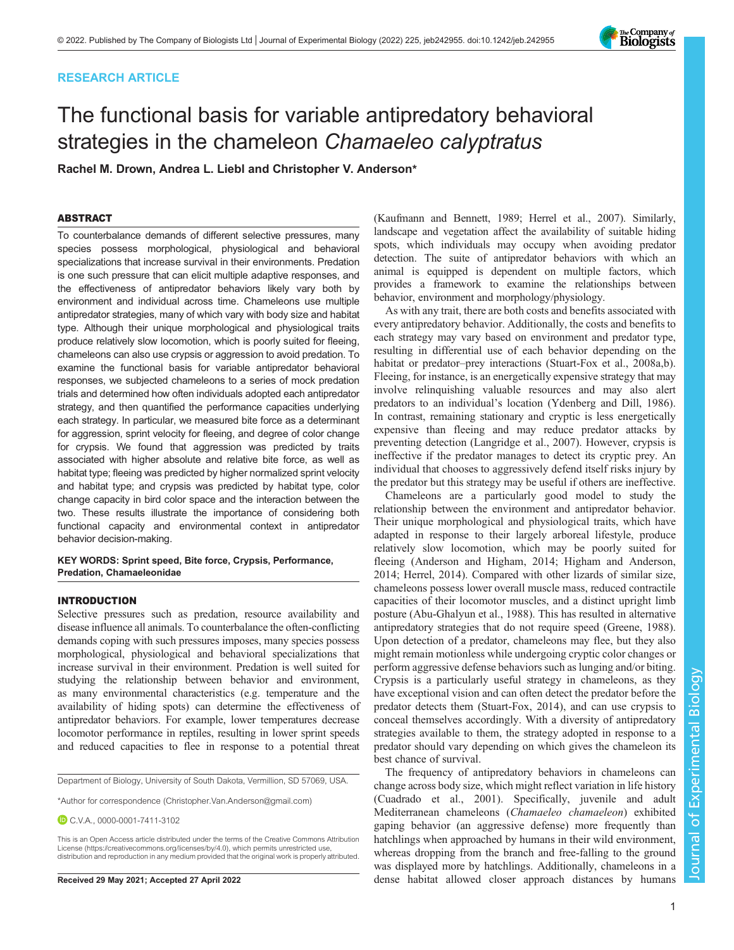# RESEARCH ARTICLE

# The functional basis for variable antipredatory behavioral strategies in the chameleon Chamaeleo calyptratus

Rachel M. Drown, Andrea L. Liebl and Christopher V. Anderson\*

# ABSTRACT

To counterbalance demands of different selective pressures, many species possess morphological, physiological and behavioral specializations that increase survival in their environments. Predation is one such pressure that can elicit multiple adaptive responses, and the effectiveness of antipredator behaviors likely vary both by environment and individual across time. Chameleons use multiple antipredator strategies, many of which vary with body size and habitat type. Although their unique morphological and physiological traits produce relatively slow locomotion, which is poorly suited for fleeing, chameleons can also use crypsis or aggression to avoid predation. To examine the functional basis for variable antipredator behavioral responses, we subjected chameleons to a series of mock predation trials and determined how often individuals adopted each antipredator strategy, and then quantified the performance capacities underlying each strategy. In particular, we measured bite force as a determinant for aggression, sprint velocity for fleeing, and degree of color change for crypsis. We found that aggression was predicted by traits associated with higher absolute and relative bite force, as well as habitat type; fleeing was predicted by higher normalized sprint velocity and habitat type; and crypsis was predicted by habitat type, color change capacity in bird color space and the interaction between the two. These results illustrate the importance of considering both functional capacity and environmental context in antipredator behavior decision-making.

KEY WORDS: Sprint speed, Bite force, Crypsis, Performance, Predation, Chamaeleonidae

## INTRODUCTION

Selective pressures such as predation, resource availability and disease influence all animals. To counterbalance the often-conflicting demands coping with such pressures imposes, many species possess morphological, physiological and behavioral specializations that increase survival in their environment. Predation is well suited for studying the relationship between behavior and environment, as many environmental characteristics (e.g. temperature and the availability of hiding spots) can determine the effectiveness of antipredator behaviors. For example, lower temperatures decrease locomotor performance in reptiles, resulting in lower sprint speeds and reduced capacities to flee in response to a potential threat

Department of Biology, University of South Dakota, Vermillion, SD 57069, USA.

\*Author for correspondence [\(Christopher.Van.Anderson@gmail.com](mailto:Christopher.Van.Anderson@gmail.com))

C.V.A., [0000-0001-7411-3102](http://orcid.org/0000-0001-7411-3102)

This is an Open Access article distributed under the terms of the Creative Commons Attribution License (https://creativecommons.org/licenses/by/4.0), which permits unrestricted use, distribution and reproduction in any medium provided that the original work is properly attributed.

[\(Kaufmann and Bennett, 1989](#page-7-0); [Herrel et al., 2007](#page-7-0)). Similarly, landscape and vegetation affect the availability of suitable hiding spots, which individuals may occupy when avoiding predator detection. The suite of antipredator behaviors with which an animal is equipped is dependent on multiple factors, which provides a framework to examine the relationships between behavior, environment and morphology/physiology.

As with any trait, there are both costs and benefits associated with every antipredatory behavior. Additionally, the costs and benefits to each strategy may vary based on environment and predator type, resulting in differential use of each behavior depending on the habitat or predator–prey interactions ([Stuart-Fox et al., 2008a](#page-8-0),[b\)](#page-8-0). Fleeing, for instance, is an energetically expensive strategy that may involve relinquishing valuable resources and may also alert predators to an individual's location [\(Ydenberg and Dill, 1986\)](#page-8-0). In contrast, remaining stationary and cryptic is less energetically expensive than fleeing and may reduce predator attacks by preventing detection [\(Langridge et al., 2007](#page-8-0)). However, crypsis is ineffective if the predator manages to detect its cryptic prey. An individual that chooses to aggressively defend itself risks injury by the predator but this strategy may be useful if others are ineffective.

Chameleons are a particularly good model to study the relationship between the environment and antipredator behavior. Their unique morphological and physiological traits, which have adapted in response to their largely arboreal lifestyle, produce relatively slow locomotion, which may be poorly suited for fleeing [\(Anderson and Higham, 2014](#page-7-0); [Higham and Anderson,](#page-7-0) [2014; Herrel, 2014](#page-7-0)). Compared with other lizards of similar size, chameleons possess lower overall muscle mass, reduced contractile capacities of their locomotor muscles, and a distinct upright limb posture ([Abu-Ghalyun et al., 1988](#page-7-0)). This has resulted in alternative antipredatory strategies that do not require speed ([Greene, 1988\)](#page-7-0). Upon detection of a predator, chameleons may flee, but they also might remain motionless while undergoing cryptic color changes or perform aggressive defense behaviors such as lunging and/or biting. Crypsis is a particularly useful strategy in chameleons, as they have exceptional vision and can often detect the predator before the predator detects them ([Stuart-Fox, 2014\)](#page-8-0), and can use crypsis to conceal themselves accordingly. With a diversity of antipredatory strategies available to them, the strategy adopted in response to a predator should vary depending on which gives the chameleon its best chance of survival.

The frequency of antipredatory behaviors in chameleons can change across body size, which might reflect variation in life history [\(Cuadrado et al., 2001\)](#page-7-0). Specifically, juvenile and adult Mediterranean chameleons (Chamaeleo chamaeleon) exhibited gaping behavior (an aggressive defense) more frequently than hatchlings when approached by humans in their wild environment, whereas dropping from the branch and free-falling to the ground was displayed more by hatchlings. Additionally, chameleons in a Received 29 May 2021; Accepted 27 April 2022 dense habitat allowed closer approach distances by humans

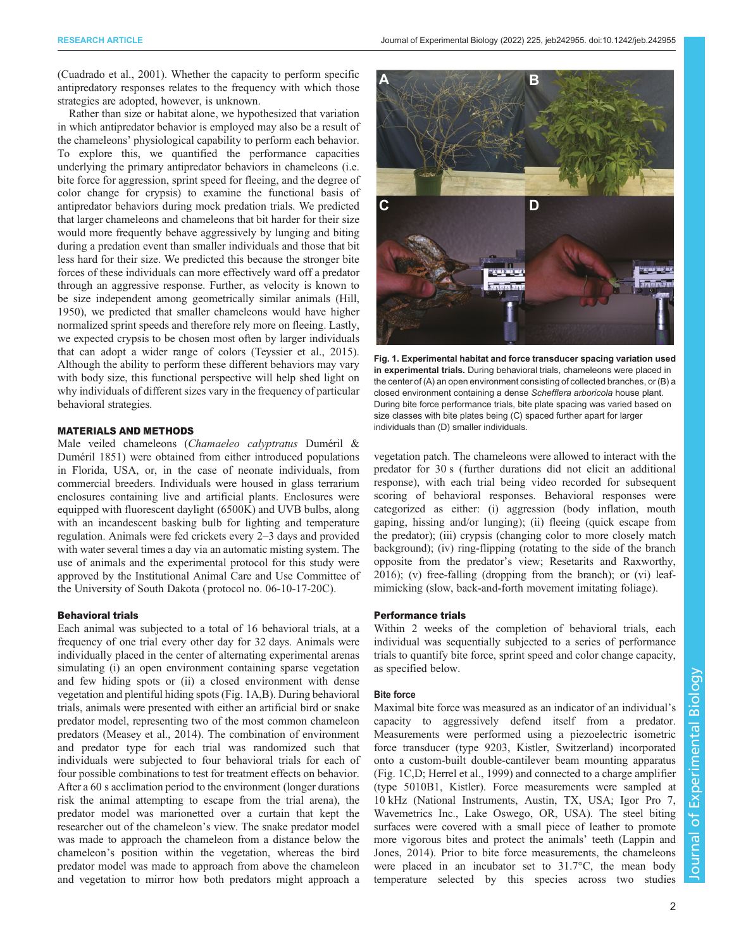<span id="page-1-0"></span>[\(Cuadrado et al., 2001](#page-7-0)). Whether the capacity to perform specific antipredatory responses relates to the frequency with which those strategies are adopted, however, is unknown.

Rather than size or habitat alone, we hypothesized that variation in which antipredator behavior is employed may also be a result of the chameleons' physiological capability to perform each behavior. To explore this, we quantified the performance capacities underlying the primary antipredator behaviors in chameleons (i.e. bite force for aggression, sprint speed for fleeing, and the degree of color change for crypsis) to examine the functional basis of antipredator behaviors during mock predation trials. We predicted that larger chameleons and chameleons that bit harder for their size would more frequently behave aggressively by lunging and biting during a predation event than smaller individuals and those that bit less hard for their size. We predicted this because the stronger bite forces of these individuals can more effectively ward off a predator through an aggressive response. Further, as velocity is known to be size independent among geometrically similar animals [\(Hill,](#page-7-0) [1950](#page-7-0)), we predicted that smaller chameleons would have higher normalized sprint speeds and therefore rely more on fleeing. Lastly, we expected crypsis to be chosen most often by larger individuals that can adopt a wider range of colors ([Teyssier et al., 2015\)](#page-8-0). Although the ability to perform these different behaviors may vary with body size, this functional perspective will help shed light on why individuals of different sizes vary in the frequency of particular behavioral strategies.

# MATERIALS AND METHODS

Male veiled chameleons (Chamaeleo calyptratus Duméril & Duméril 1851) were obtained from either introduced populations in Florida, USA, or, in the case of neonate individuals, from commercial breeders. Individuals were housed in glass terrarium enclosures containing live and artificial plants. Enclosures were equipped with fluorescent daylight (6500K) and UVB bulbs, along with an incandescent basking bulb for lighting and temperature regulation. Animals were fed crickets every 2–3 days and provided with water several times a day via an automatic misting system. The use of animals and the experimental protocol for this study were approved by the Institutional Animal Care and Use Committee of the University of South Dakota ( protocol no. 06-10-17-20C).

# Behavioral trials

Each animal was subjected to a total of 16 behavioral trials, at a frequency of one trial every other day for 32 days. Animals were individually placed in the center of alternating experimental arenas simulating (i) an open environment containing sparse vegetation and few hiding spots or (ii) a closed environment with dense vegetation and plentiful hiding spots (Fig. 1A,B). During behavioral trials, animals were presented with either an artificial bird or snake predator model, representing two of the most common chameleon predators ([Measey et al., 2014\)](#page-8-0). The combination of environment and predator type for each trial was randomized such that individuals were subjected to four behavioral trials for each of four possible combinations to test for treatment effects on behavior. After a 60 s acclimation period to the environment (longer durations risk the animal attempting to escape from the trial arena), the predator model was marionetted over a curtain that kept the researcher out of the chameleon's view. The snake predator model was made to approach the chameleon from a distance below the chameleon's position within the vegetation, whereas the bird predator model was made to approach from above the chameleon and vegetation to mirror how both predators might approach a



Fig. 1. Experimental habitat and force transducer spacing variation used in experimental trials. During behavioral trials, chameleons were placed in the center of (A) an open environment consisting of collected branches, or (B) a closed environment containing a dense Schefflera arboricola house plant. During bite force performance trials, bite plate spacing was varied based on size classes with bite plates being (C) spaced further apart for larger individuals than (D) smaller individuals.

vegetation patch. The chameleons were allowed to interact with the predator for 30 s (further durations did not elicit an additional response), with each trial being video recorded for subsequent scoring of behavioral responses. Behavioral responses were categorized as either: (i) aggression (body inflation, mouth gaping, hissing and/or lunging); (ii) fleeing (quick escape from the predator); (iii) crypsis (changing color to more closely match background); (iv) ring-flipping (rotating to the side of the branch opposite from the predator's view; [Resetarits and Raxworthy,](#page-8-0) [2016\)](#page-8-0); (v) free-falling (dropping from the branch); or (vi) leafmimicking (slow, back-and-forth movement imitating foliage).

# Performance trials

Within 2 weeks of the completion of behavioral trials, each individual was sequentially subjected to a series of performance trials to quantify bite force, sprint speed and color change capacity, as specified below.

## Bite force

Maximal bite force was measured as an indicator of an individual's capacity to aggressively defend itself from a predator. Measurements were performed using a piezoelectric isometric force transducer (type 9203, Kistler, Switzerland) incorporated onto a custom-built double-cantilever beam mounting apparatus (Fig. 1C,D; [Herrel et al., 1999\)](#page-7-0) and connected to a charge amplifier (type 5010B1, Kistler). Force measurements were sampled at 10 kHz (National Instruments, Austin, TX, USA; Igor Pro 7, Wavemetrics Inc., Lake Oswego, OR, USA). The steel biting surfaces were covered with a small piece of leather to promote more vigorous bites and protect the animals' teeth [\(Lappin and](#page-8-0) [Jones, 2014\)](#page-8-0). Prior to bite force measurements, the chameleons were placed in an incubator set to 31.7°C, the mean body temperature selected by this species across two studies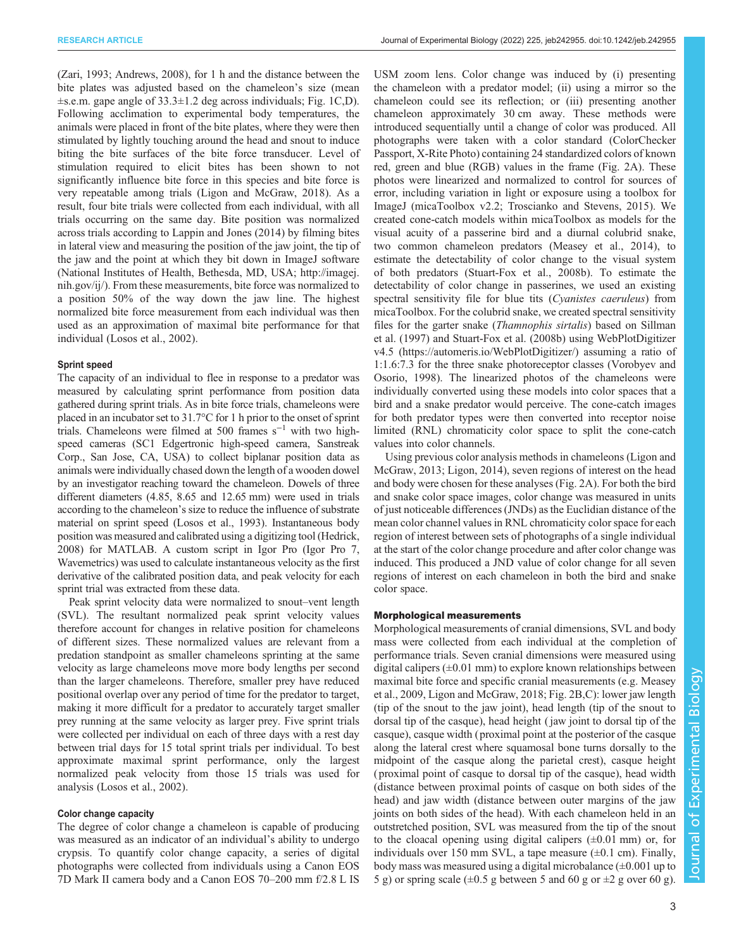[\(Zari, 1993;](#page-8-0) [Andrews, 2008\)](#page-7-0), for 1 h and the distance between the bite plates was adjusted based on the chameleon's size (mean  $\pm$ s.e.m. gape angle of 33.3 $\pm$ 1.2 deg across individuals; [Fig. 1C](#page-1-0),D). Following acclimation to experimental body temperatures, the animals were placed in front of the bite plates, where they were then stimulated by lightly touching around the head and snout to induce biting the bite surfaces of the bite force transducer. Level of stimulation required to elicit bites has been shown to not significantly influence bite force in this species and bite force is very repeatable among trials ([Ligon and McGraw, 2018](#page-8-0)). As a result, four bite trials were collected from each individual, with all trials occurring on the same day. Bite position was normalized across trials according to [Lappin and Jones \(2014\)](#page-8-0) by filming bites in lateral view and measuring the position of the jaw joint, the tip of the jaw and the point at which they bit down in ImageJ software (National Institutes of Health, Bethesda, MD, USA; [http://imagej.](http://imagej.nih.gov/ij/) [nih.gov/ij/\)](http://imagej.nih.gov/ij/). From these measurements, bite force was normalized to a position 50% of the way down the jaw line. The highest normalized bite force measurement from each individual was then used as an approximation of maximal bite performance for that individual ([Losos et al., 2002\)](#page-8-0).

## Sprint speed

The capacity of an individual to flee in response to a predator was measured by calculating sprint performance from position data gathered during sprint trials. As in bite force trials, chameleons were placed in an incubator set to 31.7°C for 1 h prior to the onset of sprint trials. Chameleons were filmed at 500 frames  $s^{-1}$  with two highspeed cameras (SC1 Edgertronic high-speed camera, Sanstreak Corp., San Jose, CA, USA) to collect biplanar position data as animals were individually chased down the length of a wooden dowel by an investigator reaching toward the chameleon. Dowels of three different diameters (4.85, 8.65 and 12.65 mm) were used in trials according to the chameleon's size to reduce the influence of substrate material on sprint speed ([Losos et al., 1993\)](#page-8-0). Instantaneous body position was measured and calibrated using a digitizing tool [\(Hedrick,](#page-7-0) [2008\)](#page-7-0) for MATLAB. A custom script in Igor Pro (Igor Pro 7, Wavemetrics) was used to calculate instantaneous velocity as the first derivative of the calibrated position data, and peak velocity for each sprint trial was extracted from these data.

Peak sprint velocity data were normalized to snout–vent length (SVL). The resultant normalized peak sprint velocity values therefore account for changes in relative position for chameleons of different sizes. These normalized values are relevant from a predation standpoint as smaller chameleons sprinting at the same velocity as large chameleons move more body lengths per second than the larger chameleons. Therefore, smaller prey have reduced positional overlap over any period of time for the predator to target, making it more difficult for a predator to accurately target smaller prey running at the same velocity as larger prey. Five sprint trials were collected per individual on each of three days with a rest day between trial days for 15 total sprint trials per individual. To best approximate maximal sprint performance, only the largest normalized peak velocity from those 15 trials was used for analysis ([Losos et al., 2002\)](#page-8-0).

## Color change capacity

The degree of color change a chameleon is capable of producing was measured as an indicator of an individual's ability to undergo crypsis. To quantify color change capacity, a series of digital photographs were collected from individuals using a Canon EOS 7D Mark II camera body and a Canon EOS 70–200 mm f/2.8 L IS USM zoom lens. Color change was induced by (i) presenting the chameleon with a predator model; (ii) using a mirror so the chameleon could see its reflection; or (iii) presenting another chameleon approximately 30 cm away. These methods were introduced sequentially until a change of color was produced. All photographs were taken with a color standard (ColorChecker Passport, X-Rite Photo) containing 24 standardized colors of known red, green and blue (RGB) values in the frame [\(Fig. 2A](#page-3-0)). These photos were linearized and normalized to control for sources of error, including variation in light or exposure using a toolbox for ImageJ (micaToolbox v2.2; [Troscianko and Stevens, 2015\)](#page-8-0). We created cone-catch models within micaToolbox as models for the visual acuity of a passerine bird and a diurnal colubrid snake, two common chameleon predators [\(Measey et al., 2014](#page-8-0)), to estimate the detectability of color change to the visual system of both predators ([Stuart-Fox et al., 2008b](#page-8-0)). To estimate the detectability of color change in passerines, we used an existing spectral sensitivity file for blue tits (Cyanistes caeruleus) from micaToolbox. For the colubrid snake, we created spectral sensitivity files for the garter snake (Thamnophis sirtalis) based on [Sillman](#page-8-0) [et al. \(1997\)](#page-8-0) and [Stuart-Fox et al. \(2008b\)](#page-8-0) using WebPlotDigitizer v4.5 ([https://automeris.io/WebPlotDigitizer/\)](https://automeris.io/WebPlotDigitizer/) assuming a ratio of 1:1.6:7.3 for the three snake photoreceptor classes [\(Vorobyev and](#page-8-0) [Osorio, 1998](#page-8-0)). The linearized photos of the chameleons were individually converted using these models into color spaces that a bird and a snake predator would perceive. The cone-catch images for both predator types were then converted into receptor noise limited (RNL) chromaticity color space to split the cone-catch values into color channels.

Using previous color analysis methods in chameleons ([Ligon and](#page-8-0) [McGraw, 2013; Ligon, 2014\)](#page-8-0), seven regions of interest on the head and body were chosen for these analyses ([Fig. 2](#page-3-0)A). For both the bird and snake color space images, color change was measured in units of just noticeable differences (JNDs) as the Euclidian distance of the mean color channel values in RNL chromaticity color space for each region of interest between sets of photographs of a single individual at the start of the color change procedure and after color change was induced. This produced a JND value of color change for all seven regions of interest on each chameleon in both the bird and snake color space.

# Morphological measurements

Morphological measurements of cranial dimensions, SVL and body mass were collected from each individual at the completion of performance trials. Seven cranial dimensions were measured using digital calipers  $(\pm 0.01 \text{ mm})$  to explore known relationships between maximal bite force and specific cranial measurements (e.g. [Measey](#page-8-0) [et al., 2009](#page-8-0), [Ligon and McGraw, 2018;](#page-8-0) [Fig. 2B](#page-3-0),C): lower jaw length (tip of the snout to the jaw joint), head length (tip of the snout to dorsal tip of the casque), head height ( jaw joint to dorsal tip of the casque), casque width ( proximal point at the posterior of the casque along the lateral crest where squamosal bone turns dorsally to the midpoint of the casque along the parietal crest), casque height ( proximal point of casque to dorsal tip of the casque), head width (distance between proximal points of casque on both sides of the head) and jaw width (distance between outer margins of the jaw joints on both sides of the head). With each chameleon held in an outstretched position, SVL was measured from the tip of the snout to the cloacal opening using digital calipers  $(\pm 0.01 \text{ mm})$  or, for individuals over 150 mm SVL, a tape measure  $(\pm 0.1 \text{ cm})$ . Finally, body mass was measured using a digital microbalance  $(\pm 0.001$  up to 5 g) or spring scale  $(\pm 0.5$  g between 5 and 60 g or  $\pm 2$  g over 60 g).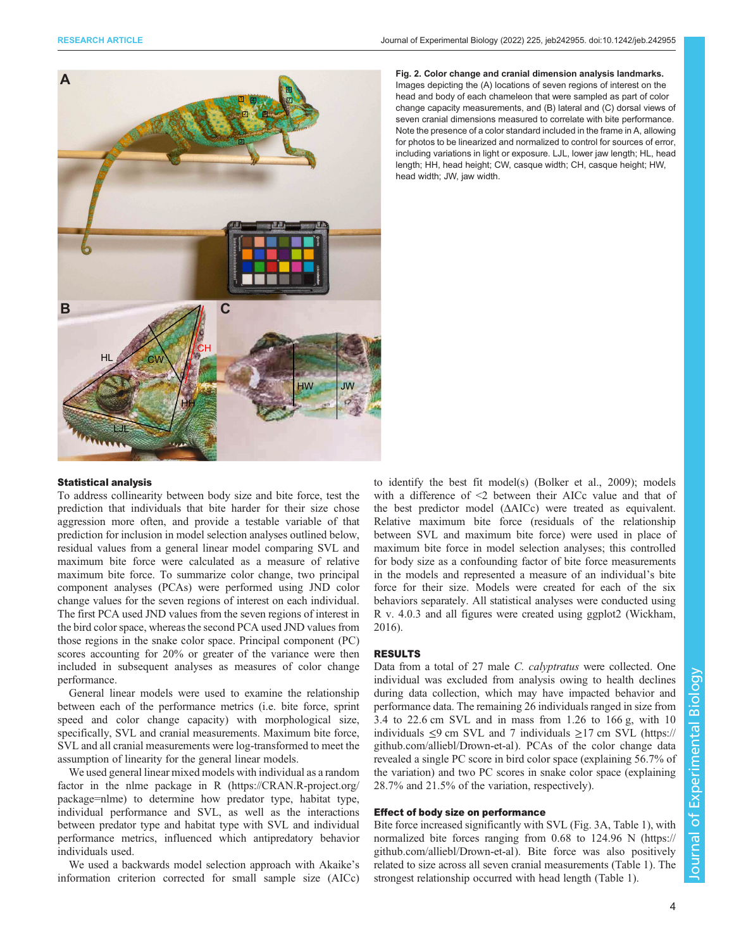<span id="page-3-0"></span>

Fig. 2. Color change and cranial dimension analysis landmarks. Images depicting the (A) locations of seven regions of interest on the head and body of each chameleon that were sampled as part of color change capacity measurements, and (B) lateral and (C) dorsal views of seven cranial dimensions measured to correlate with bite performance. Note the presence of a color standard included in the frame in A, allowing for photos to be linearized and normalized to control for sources of error, including variations in light or exposure. LJL, lower jaw length; HL, head length; HH, head height; CW, casque width; CH, casque height; HW, head width; JW, jaw width.

# Statistical analysis

To address collinearity between body size and bite force, test the prediction that individuals that bite harder for their size chose aggression more often, and provide a testable variable of that prediction for inclusion in model selection analyses outlined below, residual values from a general linear model comparing SVL and maximum bite force were calculated as a measure of relative maximum bite force. To summarize color change, two principal component analyses (PCAs) were performed using JND color change values for the seven regions of interest on each individual. The first PCA used JND values from the seven regions of interest in the bird color space, whereas the second PCA used JND values from those regions in the snake color space. Principal component (PC) scores accounting for 20% or greater of the variance were then included in subsequent analyses as measures of color change performance.

General linear models were used to examine the relationship between each of the performance metrics (i.e. bite force, sprint speed and color change capacity) with morphological size, specifically, SVL and cranial measurements. Maximum bite force, SVL and all cranial measurements were log-transformed to meet the assumption of linearity for the general linear models.

We used general linear mixed models with individual as a random factor in the nlme package in R [\(https://CRAN.R-project.org/](https://CRAN.R-project.org/package=nlme) [package=nlme\)](https://CRAN.R-project.org/package=nlme) to determine how predator type, habitat type, individual performance and SVL, as well as the interactions between predator type and habitat type with SVL and individual performance metrics, influenced which antipredatory behavior individuals used.

We used a backwards model selection approach with Akaike's information criterion corrected for small sample size (AICc)

to identify the best fit model(s) [\(Bolker et al., 2009](#page-7-0)); models with a difference of <2 between their AICc value and that of the best predictor model (ΔAICc) were treated as equivalent. Relative maximum bite force (residuals of the relationship between SVL and maximum bite force) were used in place of maximum bite force in model selection analyses; this controlled for body size as a confounding factor of bite force measurements in the models and represented a measure of an individual's bite force for their size. Models were created for each of the six behaviors separately. All statistical analyses were conducted using R v. 4.0.3 and all figures were created using ggplot2 [\(Wickham,](#page-8-0) [2016\)](#page-8-0).

# RESULTS

Data from a total of 27 male C. calyptratus were collected. One individual was excluded from analysis owing to health declines during data collection, which may have impacted behavior and performance data. The remaining 26 individuals ranged in size from 3.4 to 22.6 cm SVL and in mass from 1.26 to 166 g, with 10 individuals  $\leq$ 9 cm SVL and 7 individuals  $\geq$ 17 cm SVL ([https://](https://github.com/alliebl/Drown-et-al) [github.com/alliebl/Drown-et-al](https://github.com/alliebl/Drown-et-al)). PCAs of the color change data revealed a single PC score in bird color space (explaining 56.7% of the variation) and two PC scores in snake color space (explaining 28.7% and 21.5% of the variation, respectively).

# Effect of body size on performance

Bite force increased significantly with SVL ([Fig. 3A](#page-4-0), [Table 1\)](#page-4-0), with normalized bite forces ranging from 0.68 to 124.96 N ([https://](https://github.com/alliebl/Drown-et-al) [github.com/alliebl/Drown-et-al](https://github.com/alliebl/Drown-et-al)). Bite force was also positively related to size across all seven cranial measurements [\(Table 1\)](#page-4-0). The strongest relationship occurred with head length [\(Table 1\)](#page-4-0).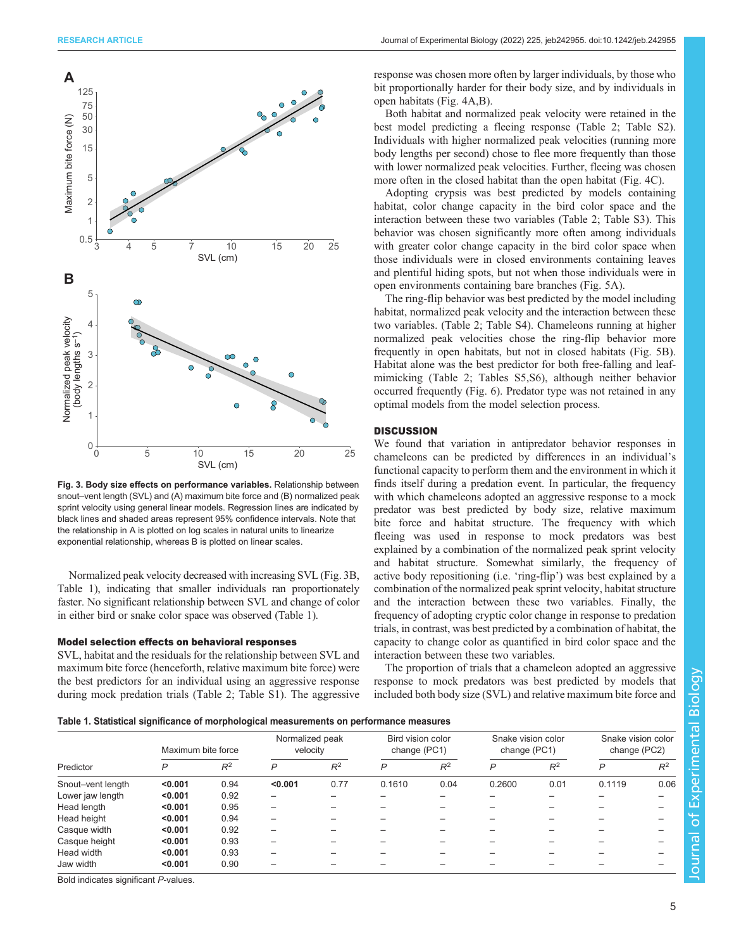<span id="page-4-0"></span>

Fig. 3. Body size effects on performance variables. Relationship between snout–vent length (SVL) and (A) maximum bite force and (B) normalized peak sprint velocity using general linear models. Regression lines are indicated by black lines and shaded areas represent 95% confidence intervals. Note that the relationship in A is plotted on log scales in natural units to linearize exponential relationship, whereas B is plotted on linear scales.

Normalized peak velocity decreased with increasing SVL (Fig. 3B, Table 1), indicating that smaller individuals ran proportionately faster. No significant relationship between SVL and change of color in either bird or snake color space was observed (Table 1).

## Model selection effects on behavioral responses

SVL, habitat and the residuals for the relationship between SVL and maximum bite force (henceforth, relative maximum bite force) were the best predictors for an individual using an aggressive response during mock predation trials [\(Table 2](#page-5-0); [Table S1\)](https://journals.biologists.com/jeb/article-lookup/DOI/10.1242/jeb.242955). The aggressive response was chosen more often by larger individuals, by those who bit proportionally harder for their body size, and by individuals in open habitats ([Fig. 4](#page-5-0)A,B).

Both habitat and normalized peak velocity were retained in the best model predicting a fleeing response ([Table 2;](#page-5-0) [Table S2\)](https://journals.biologists.com/jeb/article-lookup/DOI/10.1242/jeb.242955). Individuals with higher normalized peak velocities (running more body lengths per second) chose to flee more frequently than those with lower normalized peak velocities. Further, fleeing was chosen more often in the closed habitat than the open habitat [\(Fig. 4C](#page-5-0)).

Adopting crypsis was best predicted by models containing habitat, color change capacity in the bird color space and the interaction between these two variables [\(Table 2](#page-5-0); [Table S3\)](https://journals.biologists.com/jeb/article-lookup/DOI/10.1242/jeb.242955). This behavior was chosen significantly more often among individuals with greater color change capacity in the bird color space when those individuals were in closed environments containing leaves and plentiful hiding spots, but not when those individuals were in open environments containing bare branches [\(Fig. 5](#page-6-0)A).

The ring-flip behavior was best predicted by the model including habitat, normalized peak velocity and the interaction between these two variables. [\(Table 2](#page-5-0); [Table S4\)](https://journals.biologists.com/jeb/article-lookup/DOI/10.1242/jeb.242955). Chameleons running at higher normalized peak velocities chose the ring-flip behavior more frequently in open habitats, but not in closed habitats ([Fig. 5](#page-6-0)B). Habitat alone was the best predictor for both free-falling and leafmimicking ([Table 2;](#page-5-0) [Tables S5,S6\)](https://journals.biologists.com/jeb/article-lookup/DOI/10.1242/jeb.242955), although neither behavior occurred frequently ([Fig. 6](#page-6-0)). Predator type was not retained in any optimal models from the model selection process.

# **DISCUSSION**

We found that variation in antipredator behavior responses in chameleons can be predicted by differences in an individual's functional capacity to perform them and the environment in which it finds itself during a predation event. In particular, the frequency with which chameleons adopted an aggressive response to a mock predator was best predicted by body size, relative maximum bite force and habitat structure. The frequency with which fleeing was used in response to mock predators was best explained by a combination of the normalized peak sprint velocity and habitat structure. Somewhat similarly, the frequency of active body repositioning (i.e. 'ring-flip') was best explained by a combination of the normalized peak sprint velocity, habitat structure and the interaction between these two variables. Finally, the frequency of adopting cryptic color change in response to predation trials, in contrast, was best predicted by a combination of habitat, the capacity to change color as quantified in bird color space and the interaction between these two variables.

The proportion of trials that a chameleon adopted an aggressive response to mock predators was best predicted by models that included both body size (SVL) and relative maximum bite force and

Table 1. Statistical significance of morphological measurements on performance measures

| Predictor         | Maximum bite force |       | Normalized peak<br>velocity |       | Bird vision color<br>change (PC1) |       | Snake vision color<br>change (PC1) |       | Snake vision color<br>change (PC2) |       |
|-------------------|--------------------|-------|-----------------------------|-------|-----------------------------------|-------|------------------------------------|-------|------------------------------------|-------|
|                   | D                  | $R^2$ | P                           | $R^2$ | P                                 | $R^2$ | P                                  | $R^2$ | P                                  | $R^2$ |
| Snout-vent length | < 0.001            | 0.94  | < 0.001                     | 0.77  | 0.1610                            | 0.04  | 0.2600                             | 0.01  | 0.1119                             | 0.06  |
| Lower jaw length  | < 0.001            | 0.92  |                             |       |                                   | -     |                                    |       |                                    |       |
| Head length       | < 0.001            | 0.95  |                             |       |                                   |       |                                    |       |                                    |       |
| Head height       | < 0.001            | 0.94  |                             |       |                                   |       |                                    |       |                                    |       |
| Casque width      | < 0.001            | 0.92  |                             |       |                                   |       |                                    |       |                                    |       |
| Casque height     | < 0.001            | 0.93  |                             |       |                                   |       |                                    |       |                                    |       |
| Head width        | < 0.001            | 0.93  |                             |       |                                   |       |                                    |       |                                    |       |
| Jaw width         | < 0.001            | 0.90  |                             |       |                                   |       |                                    |       |                                    |       |

Bold indicates significant P-values.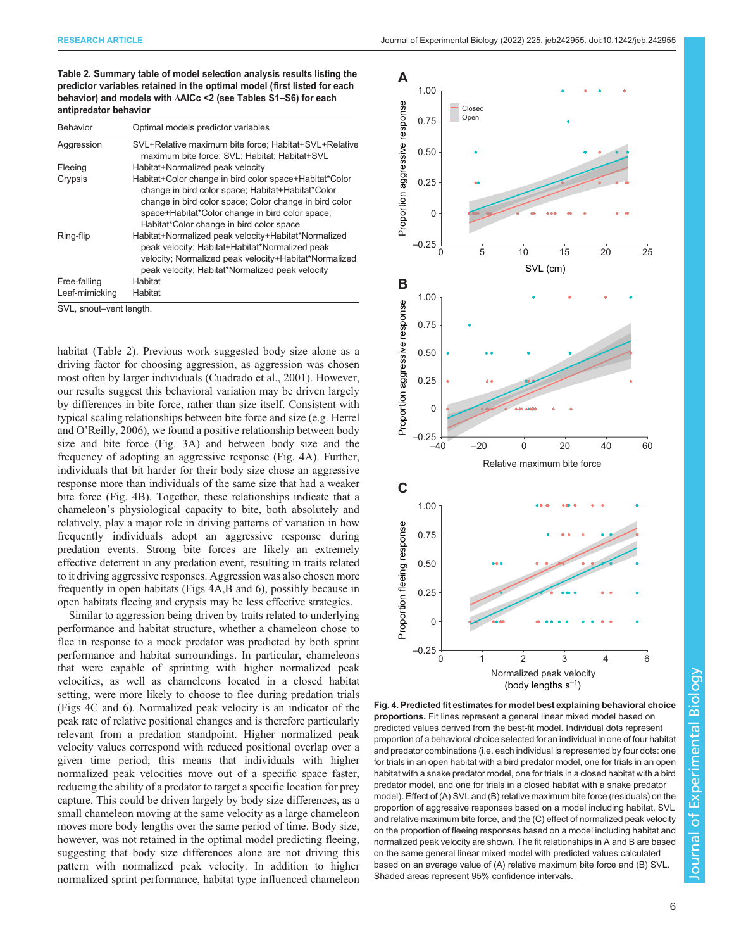<span id="page-5-0"></span>RESEARCH ARTICLE **ARTICLE** ARTICLE ARTICLE **Journal of Experimental Biology (2022) 225, jeb242955. doi:10.1242/jeb.242955** 

Table 2. Summary table of model selection analysis results listing the predictor variables retained in the optimal model (first listed for each behavior) and models with ΔAICc <2 (see [Tables S1](https://journals.biologists.com/jeb/article-lookup/DOI/10.1242/jeb.242955)–S6) for each antipredator behavior

| SVL+Relative maximum bite force; Habitat+SVL+Relative<br>maximum bite force; SVL; Habitat; Habitat+SVL                                                                                                                                                               |  |  |  |
|----------------------------------------------------------------------------------------------------------------------------------------------------------------------------------------------------------------------------------------------------------------------|--|--|--|
| Habitat+Normalized peak velocity                                                                                                                                                                                                                                     |  |  |  |
| Habitat+Color change in bird color space+Habitat*Color<br>change in bird color space; Habitat+Habitat*Color<br>change in bird color space; Color change in bird color<br>space+Habitat*Color change in bird color space;<br>Habitat*Color change in bird color space |  |  |  |
| Habitat+Normalized peak velocity+Habitat*Normalized<br>peak velocity; Habitat+Habitat*Normalized peak<br>velocity; Normalized peak velocity+Habitat*Normalized<br>peak velocity; Habitat*Normalized peak velocity                                                    |  |  |  |
| Habitat                                                                                                                                                                                                                                                              |  |  |  |
| Habitat                                                                                                                                                                                                                                                              |  |  |  |
| SVL, snout-vent length.                                                                                                                                                                                                                                              |  |  |  |

habitat (Table 2). Previous work suggested body size alone as a driving factor for choosing aggression, as aggression was chosen most often by larger individuals [\(Cuadrado et al., 2001\)](#page-7-0). However, our results suggest this behavioral variation may be driven largely by differences in bite force, rather than size itself. Consistent with typical scaling relationships between bite force and size (e.g. [Herrel](#page-7-0) and O'[Reilly, 2006\)](#page-7-0), we found a positive relationship between body size and bite force [\(Fig. 3A](#page-4-0)) and between body size and the frequency of adopting an aggressive response (Fig. 4A). Further, individuals that bit harder for their body size chose an aggressive response more than individuals of the same size that had a weaker bite force (Fig. 4B). Together, these relationships indicate that a chameleon's physiological capacity to bite, both absolutely and relatively, play a major role in driving patterns of variation in how frequently individuals adopt an aggressive response during predation events. Strong bite forces are likely an extremely effective deterrent in any predation event, resulting in traits related to it driving aggressive responses. Aggression was also chosen more frequently in open habitats (Figs 4A,B and [6\)](#page-6-0), possibly because in open habitats fleeing and crypsis may be less effective strategies.

Similar to aggression being driven by traits related to underlying performance and habitat structure, whether a chameleon chose to flee in response to a mock predator was predicted by both sprint performance and habitat surroundings. In particular, chameleons that were capable of sprinting with higher normalized peak velocities, as well as chameleons located in a closed habitat setting, were more likely to choose to flee during predation trials (Figs 4C and [6](#page-6-0)). Normalized peak velocity is an indicator of the peak rate of relative positional changes and is therefore particularly relevant from a predation standpoint. Higher normalized peak velocity values correspond with reduced positional overlap over a given time period; this means that individuals with higher normalized peak velocities move out of a specific space faster, reducing the ability of a predator to target a specific location for prey capture. This could be driven largely by body size differences, as a small chameleon moving at the same velocity as a large chameleon moves more body lengths over the same period of time. Body size, however, was not retained in the optimal model predicting fleeing, suggesting that body size differences alone are not driving this pattern with normalized peak velocity. In addition to higher normalized sprint performance, habitat type influenced chameleon



Fig. 4. Predicted fit estimates for model best explaining behavioral choice proportions. Fit lines represent a general linear mixed model based on predicted values derived from the best-fit model. Individual dots represent proportion of a behavioral choice selected for an individual in one of four habitat and predator combinations (i.e. each individual is represented by four dots: one for trials in an open habitat with a bird predator model, one for trials in an open habitat with a snake predator model, one for trials in a closed habitat with a bird predator model, and one for trials in a closed habitat with a snake predator model). Effect of (A) SVL and (B) relative maximum bite force (residuals) on the proportion of aggressive responses based on a model including habitat, SVL and relative maximum bite force, and the (C) effect of normalized peak velocity on the proportion of fleeing responses based on a model including habitat and normalized peak velocity are shown. The fit relationships in A and B are based on the same general linear mixed model with predicted values calculated based on an average value of (A) relative maximum bite force and (B) SVL. Shaded areas represent 95% confidence intervals.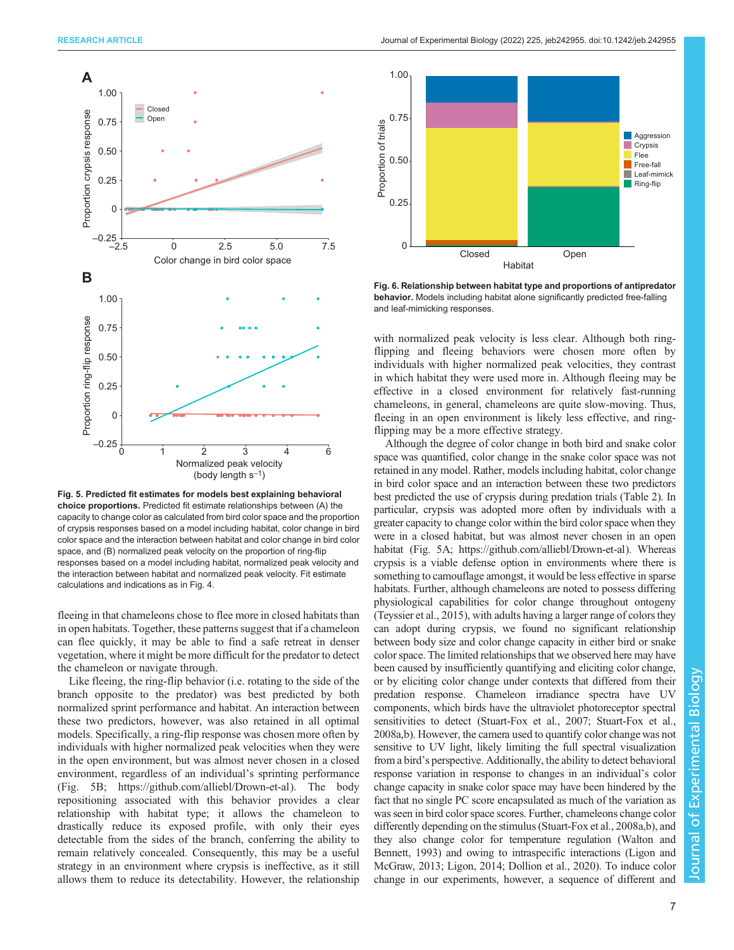<span id="page-6-0"></span>

Fig. 5. Predicted fit estimates for models best explaining behavioral choice proportions. Predicted fit estimate relationships between (A) the capacity to change color as calculated from bird color space and the proportion of crypsis responses based on a model including habitat, color change in bird color space and the interaction between habitat and color change in bird color space, and (B) normalized peak velocity on the proportion of ring-flip responses based on a model including habitat, normalized peak velocity and the interaction between habitat and normalized peak velocity. Fit estimate calculations and indications as in [Fig. 4](#page-5-0).

fleeing in that chameleons chose to flee more in closed habitats than in open habitats. Together, these patterns suggest that if a chameleon can flee quickly, it may be able to find a safe retreat in denser vegetation, where it might be more difficult for the predator to detect the chameleon or navigate through.

Like fleeing, the ring-flip behavior (i.e. rotating to the side of the branch opposite to the predator) was best predicted by both normalized sprint performance and habitat. An interaction between these two predictors, however, was also retained in all optimal models. Specifically, a ring-flip response was chosen more often by individuals with higher normalized peak velocities when they were in the open environment, but was almost never chosen in a closed environment, regardless of an individual's sprinting performance (Fig. 5B; [https://github.com/alliebl/Drown-et-al\)](https://github.com/alliebl/Drown-et-al). The body repositioning associated with this behavior provides a clear relationship with habitat type; it allows the chameleon to drastically reduce its exposed profile, with only their eyes detectable from the sides of the branch, conferring the ability to remain relatively concealed. Consequently, this may be a useful strategy in an environment where crypsis is ineffective, as it still allows them to reduce its detectability. However, the relationship



Fig. 6. Relationship between habitat type and proportions of antipredator behavior. Models including habitat alone significantly predicted free-falling and leaf-mimicking responses.

with normalized peak velocity is less clear. Although both ringflipping and fleeing behaviors were chosen more often by individuals with higher normalized peak velocities, they contrast in which habitat they were used more in. Although fleeing may be effective in a closed environment for relatively fast-running chameleons, in general, chameleons are quite slow-moving. Thus, fleeing in an open environment is likely less effective, and ringflipping may be a more effective strategy.

Although the degree of color change in both bird and snake color space was quantified, color change in the snake color space was not retained in any model. Rather, models including habitat, color change in bird color space and an interaction between these two predictors best predicted the use of crypsis during predation trials [\(Table 2](#page-5-0)). In particular, crypsis was adopted more often by individuals with a greater capacity to change color within the bird color space when they were in a closed habitat, but was almost never chosen in an open habitat (Fig. 5A;<https://github.com/alliebl/Drown-et-al>). Whereas crypsis is a viable defense option in environments where there is something to camouflage amongst, it would be less effective in sparse habitats. Further, although chameleons are noted to possess differing physiological capabilities for color change throughout ontogeny [\(Teyssier et al., 2015](#page-8-0)), with adults having a larger range of colors they can adopt during crypsis, we found no significant relationship between body size and color change capacity in either bird or snake color space. The limited relationships that we observed here may have been caused by insufficiently quantifying and eliciting color change, or by eliciting color change under contexts that differed from their predation response. Chameleon irradiance spectra have UV components, which birds have the ultraviolet photoreceptor spectral sensitivities to detect [\(Stuart-Fox et al., 2007; Stuart-Fox et al.,](#page-8-0) [2008a,b\)](#page-8-0). However, the camera used to quantify color change was not sensitive to UV light, likely limiting the full spectral visualization from a bird's perspective. Additionally, the ability to detect behavioral response variation in response to changes in an individual's color change capacity in snake color space may have been hindered by the fact that no single PC score encapsulated as much of the variation as was seen in bird color space scores. Further, chameleons change color differently depending on the stimulus [\(Stuart-Fox et al., 2008a,b](#page-8-0)), and they also change color for temperature regulation [\(Walton and](#page-8-0) [Bennett, 1993](#page-8-0)) and owing to intraspecific interactions ([Ligon and](#page-8-0) [McGraw, 2013; Ligon, 2014;](#page-8-0) [Dollion et al., 2020\)](#page-7-0). To induce color change in our experiments, however, a sequence of different and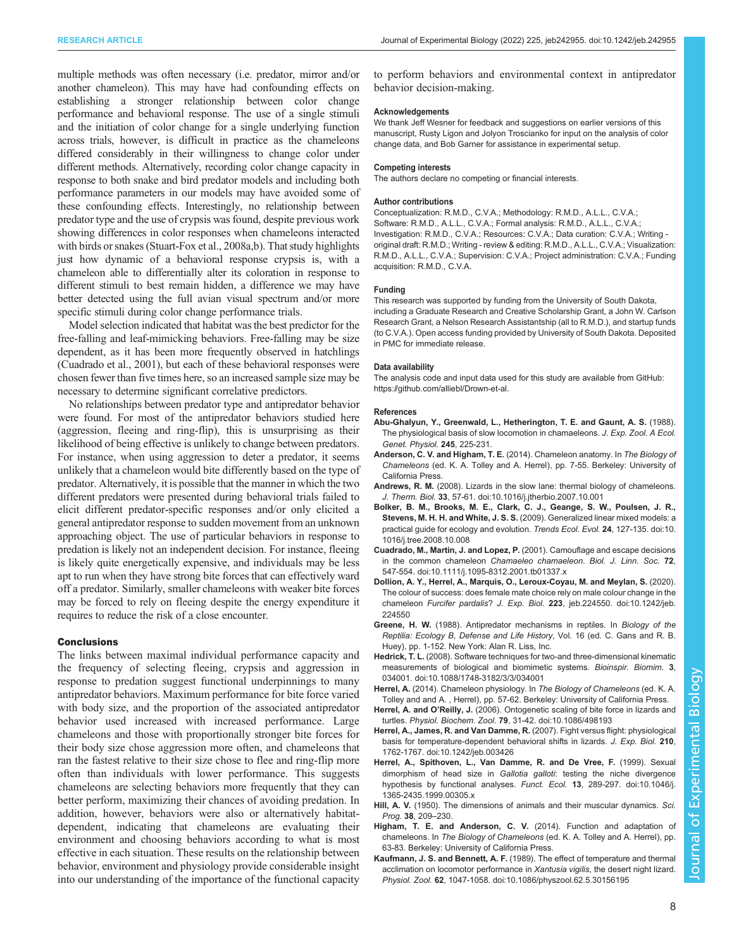<span id="page-7-0"></span>multiple methods was often necessary (i.e. predator, mirror and/or another chameleon). This may have had confounding effects on establishing a stronger relationship between color change performance and behavioral response. The use of a single stimuli and the initiation of color change for a single underlying function across trials, however, is difficult in practice as the chameleons differed considerably in their willingness to change color under different methods. Alternatively, recording color change capacity in response to both snake and bird predator models and including both performance parameters in our models may have avoided some of these confounding effects. Interestingly, no relationship between predator type and the use of crypsis was found, despite previous work showing differences in color responses when chameleons interacted with birds or snakes ([Stuart-Fox et al., 2008a](#page-8-0),[b](#page-8-0)). That study highlights just how dynamic of a behavioral response crypsis is, with a chameleon able to differentially alter its coloration in response to different stimuli to best remain hidden, a difference we may have better detected using the full avian visual spectrum and/or more specific stimuli during color change performance trials.

Model selection indicated that habitat was the best predictor for the free-falling and leaf-mimicking behaviors. Free-falling may be size dependent, as it has been more frequently observed in hatchlings (Cuadrado et al., 2001), but each of these behavioral responses were chosen fewer than five times here, so an increased sample size may be necessary to determine significant correlative predictors.

No relationships between predator type and antipredator behavior were found. For most of the antipredator behaviors studied here (aggression, fleeing and ring-flip), this is unsurprising as their likelihood of being effective is unlikely to change between predators. For instance, when using aggression to deter a predator, it seems unlikely that a chameleon would bite differently based on the type of predator. Alternatively, it is possible that the manner in which the two different predators were presented during behavioral trials failed to elicit different predator-specific responses and/or only elicited a general antipredator response to sudden movement from an unknown approaching object. The use of particular behaviors in response to predation is likely not an independent decision. For instance, fleeing is likely quite energetically expensive, and individuals may be less apt to run when they have strong bite forces that can effectively ward off a predator. Similarly, smaller chameleons with weaker bite forces may be forced to rely on fleeing despite the energy expenditure it requires to reduce the risk of a close encounter.

## **Conclusions**

The links between maximal individual performance capacity and the frequency of selecting fleeing, crypsis and aggression in response to predation suggest functional underpinnings to many antipredator behaviors. Maximum performance for bite force varied with body size, and the proportion of the associated antipredator behavior used increased with increased performance. Large chameleons and those with proportionally stronger bite forces for their body size chose aggression more often, and chameleons that ran the fastest relative to their size chose to flee and ring-flip more often than individuals with lower performance. This suggests chameleons are selecting behaviors more frequently that they can better perform, maximizing their chances of avoiding predation. In addition, however, behaviors were also or alternatively habitatdependent, indicating that chameleons are evaluating their environment and choosing behaviors according to what is most effective in each situation. These results on the relationship between behavior, environment and physiology provide considerable insight into our understanding of the importance of the functional capacity

to perform behaviors and environmental context in antipredator behavior decision-making.

## Acknowledgements

We thank Jeff Wesner for feedback and suggestions on earlier versions of this manuscript, Rusty Ligon and Jolyon Troscianko for input on the analysis of color change data, and Bob Garner for assistance in experimental setup.

### Competing interests

The authors declare no competing or financial interests.

## Author contributions

Conceptualization: R.M.D., C.V.A.; Methodology: R.M.D., A.L.L., C.V.A.; Software: R.M.D., A.L.L., C.V.A.; Formal analysis: R.M.D., A.L.L., C.V.A.; Investigation: R.M.D., C.V.A.; Resources: C.V.A.; Data curation: C.V.A.; Writing original draft: R.M.D.; Writing - review & editing: R.M.D., A.L.L., C.V.A.; Visualization: R.M.D., A.L.L., C.V.A.; Supervision: C.V.A.; Project administration: C.V.A.; Funding acquisition: R.M.D., C.V.A.

## Funding

This research was supported by funding from the University of South Dakota, including a Graduate Research and Creative Scholarship Grant, a John W. Carlson Research Grant, a Nelson Research Assistantship (all to R.M.D.), and startup funds (to C.V.A.). Open access funding provided by University of South Dakota. Deposited in PMC for immediate release.

## Data availability

The analysis code and input data used for this study are available from GitHub: [https://github.com/alliebl/Drown-et-al.](https://github.com/alliebl/Drown-et-al)

#### References

- Abu-Ghalyun, Y., Greenwald, L., Hetherington, T. E. and Gaunt, A. S. (1988). The physiological basis of slow locomotion in chamaeleons. J. Exp. Zool. A Ecol. Genet. Physiol. 245, 225-231.
- Anderson, C. V. and Higham, T. E. (2014). Chameleon anatomy. In The Biology of Chameleons (ed. K. A. Tolley and A. Herrel), pp. 7-55. Berkeley: University of California Press.
- Andrews, R. M. [\(2008\). Lizards in the slow lane: thermal biology of chameleons.](https://doi.org/10.1016/j.jtherbio.2007.10.001) J. Therm. Biol. 33[, 57-61. doi:10.1016/j.jtherbio.2007.10.001](https://doi.org/10.1016/j.jtherbio.2007.10.001)
- [Bolker, B. M., Brooks, M. E., Clark, C. J., Geange, S. W., Poulsen, J. R.,](https://doi.org/10.1016/j.tree.2008.10.008) Stevens, M. H. H. and White, J. S. S. [\(2009\). Generalized linear mixed models: a](https://doi.org/10.1016/j.tree.2008.10.008) [practical guide for ecology and evolution.](https://doi.org/10.1016/j.tree.2008.10.008) Trends Ecol. Evol. 24, 127-135. doi:10. [1016/j.tree.2008.10.008](https://doi.org/10.1016/j.tree.2008.10.008)
- Cuadrado, M., Martin, J. and Lopez, P. [\(2001\). Camouflage and escape decisions](https://doi.org/10.1111/j.1095-8312.2001.tb01337.x) [in the common chameleon](https://doi.org/10.1111/j.1095-8312.2001.tb01337.x) Chamaeleo chamaeleon. Biol. J. Linn. Soc. 72, [547-554. doi:10.1111/j.1095-8312.2001.tb01337.x](https://doi.org/10.1111/j.1095-8312.2001.tb01337.x)
- [Dollion, A. Y., Herrel, A., Marquis, O., Leroux-Coyau, M. and Meylan, S.](https://doi.org/10.1242/jeb.224550) (2020). [The colour of success: does female mate choice rely on male colour change in the](https://doi.org/10.1242/jeb.224550) chameleon Furcifer pardalis? J. Exp. Biol. 223[, jeb.224550. doi:10.1242/jeb.](https://doi.org/10.1242/jeb.224550) [224550](https://doi.org/10.1242/jeb.224550)
- Greene, H. W. (1988). Antipredator mechanisms in reptiles. In Biology of the Reptilia: Ecology B, Defense and Life History, Vol. 16 (ed. C. Gans and R. B. Huey), pp. 1-152. New York: Alan R. Liss, Inc.
- Hedrick, T. L. [\(2008\). Software techniques for two-and three-dimensional kinematic](https://doi.org/10.1088/1748-3182/3/3/034001) [measurements of biological and biomimetic systems.](https://doi.org/10.1088/1748-3182/3/3/034001) Bioinspir. Biomim. 3, [034001. doi:10.1088/1748-3182/3/3/034001](https://doi.org/10.1088/1748-3182/3/3/034001)
- Herrel, A. (2014). Chameleon physiology. In The Biology of Chameleons (ed. K. A. Tolley and and A. , Herrel), pp. 57-62. Berkeley: University of California Press.
- Herrel, A. and O'Reilly, J. [\(2006\). Ontogenetic scaling of bite force in lizards and](https://doi.org/10.1086/498193) turtles. Physiol. Biochem. Zool. 79[, 31-42. doi:10.1086/498193](https://doi.org/10.1086/498193)
- [Herrel, A., James, R. and Van Damme, R.](https://doi.org/10.1242/jeb.003426) (2007). Fight versus flight: physiological [basis for temperature-dependent behavioral shifts in lizards.](https://doi.org/10.1242/jeb.003426) J. Exp. Biol. 210, [1762-1767. doi:10.1242/jeb.003426](https://doi.org/10.1242/jeb.003426)
- [Herrel, A., Spithoven, L., Van Damme, R. and De Vree, F.](https://doi.org/10.1046/j.1365-2435.1999.00305.x) (1999). Sexual dimorphism of head size in Gallotia galloti[: testing the niche divergence](https://doi.org/10.1046/j.1365-2435.1999.00305.x) [hypothesis by functional analyses.](https://doi.org/10.1046/j.1365-2435.1999.00305.x) Funct. Ecol. 13, 289-297. doi:10.1046/j. [1365-2435.1999.00305.x](https://doi.org/10.1046/j.1365-2435.1999.00305.x)
- Hill, A. V. (1950). The dimensions of animals and their muscular dynamics. Sci. Prog. 38, 209–230.
- Higham, T. E. and Anderson, C. V. (2014). Function and adaptation of chameleons. In The Biology of Chameleons (ed. K. A. Tolley and A. Herrel), pp. 63-83. Berkeley: University of California Press.
- Kaufmann, J. S. and Bennett, A. F. [\(1989\). The effect of temperature and thermal](https://doi.org/10.1086/physzool.62.5.30156195) [acclimation on locomotor performance in](https://doi.org/10.1086/physzool.62.5.30156195) Xantusia vigilis, the desert night lizard. Physiol. Zool. 62[, 1047-1058. doi:10.1086/physzool.62.5.30156195](https://doi.org/10.1086/physzool.62.5.30156195)